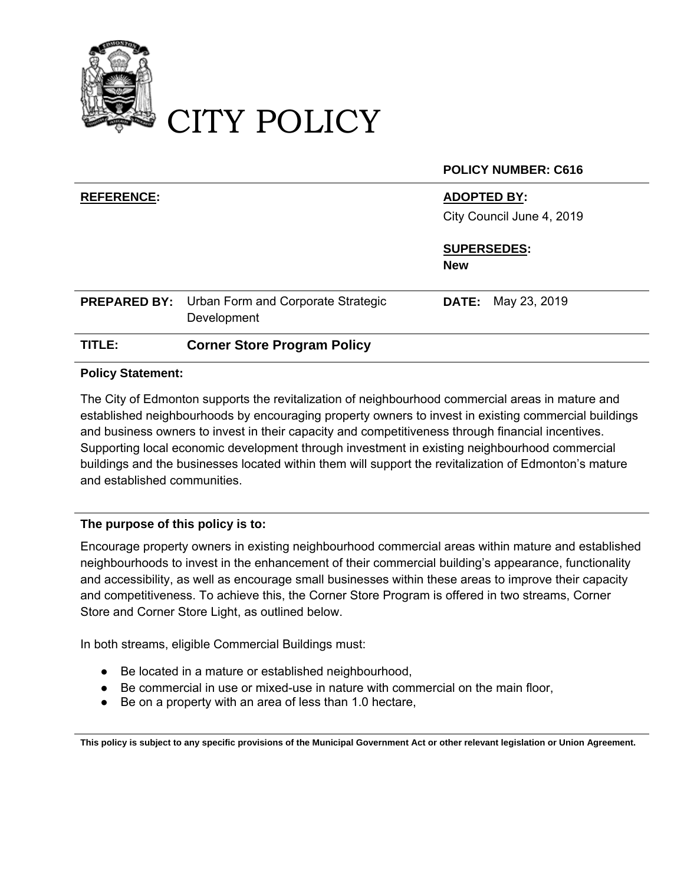

# CITY POLICY

|                     |                                                   | <b>POLICY NUMBER: C616</b>                      |
|---------------------|---------------------------------------------------|-------------------------------------------------|
| <b>REFERENCE:</b>   |                                                   | <b>ADOPTED BY:</b><br>City Council June 4, 2019 |
|                     |                                                   | <b>SUPERSEDES:</b><br><b>New</b>                |
| <b>PREPARED BY:</b> | Urban Form and Corporate Strategic<br>Development | <b>DATE:</b> May 23, 2019                       |
| TITLE:              | <b>Corner Store Program Policy</b>                |                                                 |

### **Policy Statement:**

The City of Edmonton supports the revitalization of neighbourhood commercial areas in mature and established neighbourhoods by encouraging property owners to invest in existing commercial buildings and business owners to invest in their capacity and competitiveness through financial incentives. Supporting local economic development through investment in existing neighbourhood commercial buildings and the businesses located within them will support the revitalization of Edmonton's mature and established communities.

## **The purpose of this policy is to:**

Encourage property owners in existing neighbourhood commercial areas within mature and established neighbourhoods to invest in the enhancement of their commercial building's appearance, functionality and accessibility, as well as encourage small businesses within these areas to improve their capacity and competitiveness. To achieve this, the Corner Store Program is offered in two streams, Corner Store and Corner Store Light, as outlined below.

In both streams, eligible Commercial Buildings must:

- Be located in a mature or established neighbourhood,
- Be commercial in use or mixed-use in nature with commercial on the main floor,
- Be on a property with an area of less than 1.0 hectare,

**This policy is subject to any specific provisions of the Municipal Government Act or other relevant legislation or Union Agreement.**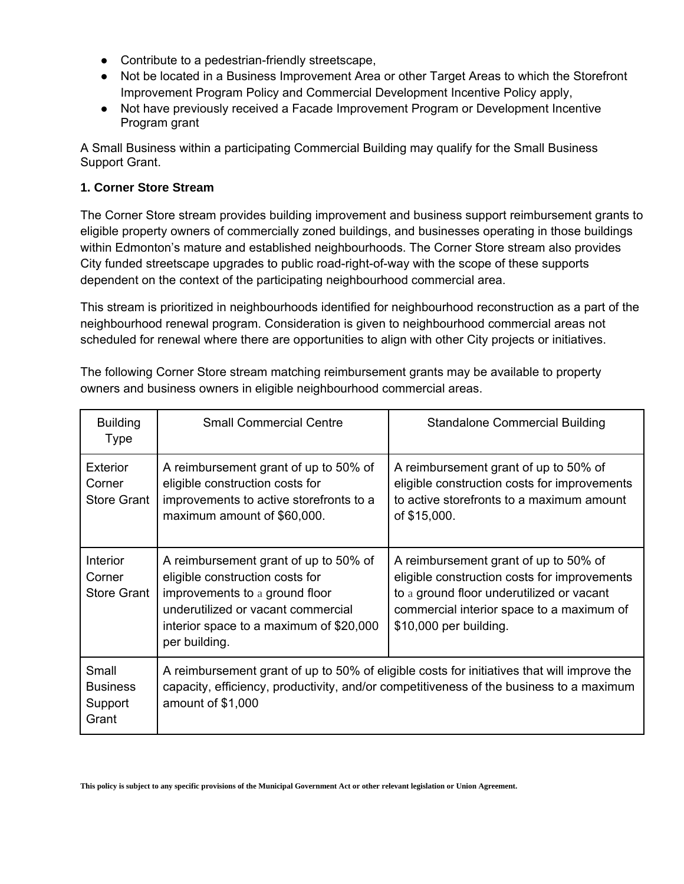- Contribute to a pedestrian-friendly streetscape,
- Not be located in a Business Improvement Area or other Target Areas to which the Storefront Improvement Program Policy and Commercial Development Incentive Policy apply,
- Not have previously received a Facade Improvement Program or Development Incentive Program grant

A Small Business within a participating Commercial Building may qualify for the Small Business Support Grant.

#### **1. Corner Store Stream**

The Corner Store stream provides building improvement and business support reimbursement grants to eligible property owners of commercially zoned buildings, and businesses operating in those buildings within Edmonton's mature and established neighbourhoods. The Corner Store stream also provides City funded streetscape upgrades to public road-right-of-way with the scope of these supports dependent on the context of the participating neighbourhood commercial area.

This stream is prioritized in neighbourhoods identified for neighbourhood reconstruction as a part of the neighbourhood renewal program. Consideration is given to neighbourhood commercial areas not scheduled for renewal where there are opportunities to align with other City projects or initiatives.

| <b>Building</b><br>Type                         | <b>Small Commercial Centre</b>                                                                                                                                                                               | <b>Standalone Commercial Building</b>                                                                                                                                                                     |
|-------------------------------------------------|--------------------------------------------------------------------------------------------------------------------------------------------------------------------------------------------------------------|-----------------------------------------------------------------------------------------------------------------------------------------------------------------------------------------------------------|
| <b>Exterior</b><br>Corner<br><b>Store Grant</b> | A reimbursement grant of up to 50% of<br>eligible construction costs for<br>improvements to active storefronts to a<br>maximum amount of \$60,000.                                                           | A reimbursement grant of up to 50% of<br>eligible construction costs for improvements<br>to active storefronts to a maximum amount<br>of \$15,000.                                                        |
| <b>Interior</b><br>Corner<br><b>Store Grant</b> | A reimbursement grant of up to 50% of<br>eligible construction costs for<br>improvements to a ground floor<br>underutilized or vacant commercial<br>interior space to a maximum of \$20,000<br>per building. | A reimbursement grant of up to 50% of<br>eligible construction costs for improvements<br>to a ground floor underutilized or vacant<br>commercial interior space to a maximum of<br>\$10,000 per building. |
| Small<br><b>Business</b><br>Support<br>Grant    | A reimbursement grant of up to 50% of eligible costs for initiatives that will improve the<br>capacity, efficiency, productivity, and/or competitiveness of the business to a maximum<br>amount of \$1,000   |                                                                                                                                                                                                           |

The following Corner Store stream matching reimbursement grants may be available to property owners and business owners in eligible neighbourhood commercial areas.

**This policy is subject to any specific provisions of the Municipal Government Act or other relevant legislation or Union Agreement.**